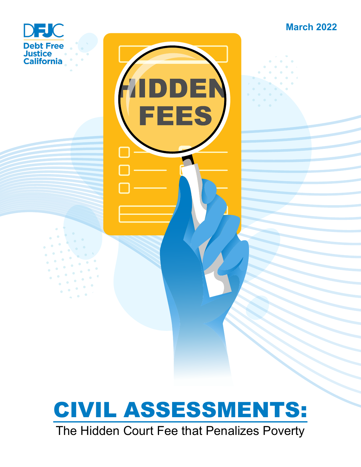



ᄇ

**FEES** 

# CIVIL ASSESSMENTS: The Hidden Court Fee that Penalizes Poverty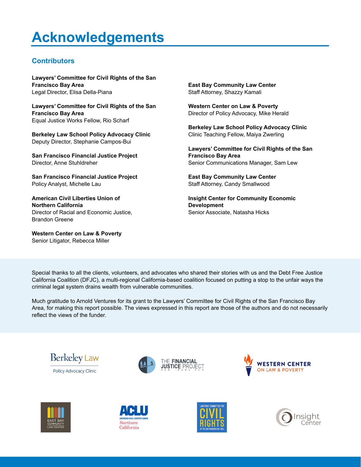# **Acknowledgements**

#### **Contributors**

**Lawyers' Committee for Civil Rights of the San Francisco Bay Area**  Legal Director, Elisa Della-Piana

**Lawyers' Committee for Civil Rights of the San Francisco Bay Area**  Equal Justice Works Fellow, Rio Scharf

**Berkeley Law School Policy Advocacy Clinic**  Deputy Director, Stephanie Campos-Bui

**San Francisco Financial Justice Project**  Director, Anne Stuhldreher

**San Francisco Financial Justice Project**  Policy Analyst, Michelle Lau

**American Civil Liberties Union of Northern California**  Director of Racial and Economic Justice, Brandon Greene

**Western Center on Law & Poverty**  Senior Litigator, Rebecca Miller

**East Bay Community Law Center**  Staff Attorney, Shazzy Kamali

**Western Center on Law & Poverty**  Director of Policy Advocacy, Mike Herald

**Berkeley Law School Policy Advocacy Clinic**  Clinic Teaching Fellow, Maiya Zwerling

**Lawyers' Committee for Civil Rights of the San Francisco Bay Area**  Senior Communications Manager, Sam Lew

**East Bay Community Law Center**  Staff Attorney, Candy Smallwood

**Insight Center for Community Economic Development**  Senior Associate, Natasha Hicks

Special thanks to all the clients, volunteers, and advocates who shared their stories with us and the Debt Free Justice California Coalition (DFJC), a multi-regional California-based coalition focused on putting a stop to the unfair ways the criminal legal system drains wealth from vulnerable communities.

Much gratitude to Arnold Ventures for its grant to the Lawyers' Committee for Civil Rights of the San Francisco Bay Area, for making this report possible. The views expressed in this report are those of the authors and do not necessarily reflect the views of the funder.



Policy Advocacy Clinic













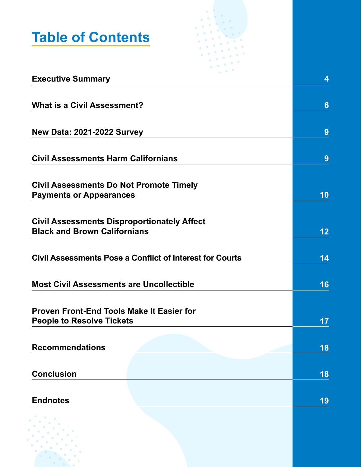

| <b>Executive Summary</b>                                        | 4  |
|-----------------------------------------------------------------|----|
|                                                                 |    |
| <b>What is a Civil Assessment?</b>                              | 6  |
|                                                                 |    |
| <b>New Data: 2021-2022 Survey</b>                               | 9  |
|                                                                 |    |
| <b>Civil Assessments Harm Californians</b>                      | 9  |
|                                                                 |    |
| <b>Civil Assessments Do Not Promote Timely</b>                  |    |
| <b>Payments or Appearances</b>                                  | 10 |
|                                                                 |    |
| <b>Civil Assessments Disproportionately Affect</b>              |    |
| <b>Black and Brown Californians</b>                             | 12 |
|                                                                 |    |
| <b>Civil Assessments Pose a Conflict of Interest for Courts</b> | 14 |
|                                                                 |    |
|                                                                 |    |
| <b>Most Civil Assessments are Uncollectible</b>                 | 16 |
|                                                                 |    |
| <b>Proven Front-End Tools Make It Easier for</b>                |    |
| <b>People to Resolve Tickets</b>                                | 17 |
|                                                                 |    |
| <b>Recommendations</b>                                          | 18 |
|                                                                 |    |
| <b>Conclusion</b>                                               | 18 |
|                                                                 |    |
| <b>Endnotes</b>                                                 | 19 |
|                                                                 |    |
|                                                                 |    |
|                                                                 |    |
|                                                                 |    |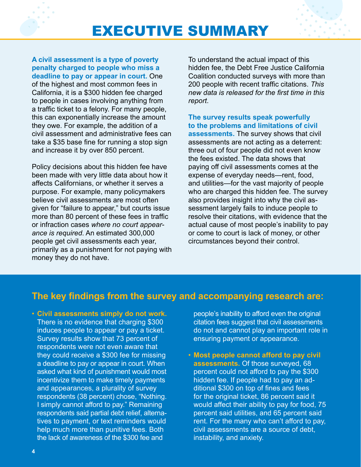

**A civil assessment is a type of poverty penalty charged to people who miss a deadline to pay or appear in court.** One of the highest and most common fees in California, it is a \$300 hidden fee charged to people in cases involving anything from a traffic ticket to a felony. For many people, this can exponentially increase the amount they owe. For example, the addition of a civil assessment and administrative fees can take a \$35 base fine for running a stop sign and increase it by over 850 percent.

Policy decisions about this hidden fee have been made with very little data about how it affects Californians, or whether it serves a purpose. For example, many policymakers believe civil assessments are most often given for "failure to appear," but courts issue more than 80 percent of these fees in traffic or infraction cases *where no court appearance is required*. An estimated 300,000 people get civil assessments each year, primarily as a punishment for not paying with money they do not have.

To understand the actual impact of this hidden fee, the Debt Free Justice California Coalition conducted surveys with more than 200 people with recent traffic citations. *This new data is released for the first time in this report*.

**The survey results speak powerfully to the problems and limitations of civil assessments.** The survey shows that civil assessments are not acting as a deterrent: three out of four people did not even know the fees existed. The data shows that paying off civil assessments comes at the expense of everyday needs—rent, food, and utilities—for the vast majority of people who are charged this hidden fee. The survey also provides insight into why the civil assessment largely fails to induce people to resolve their citations, with evidence that the actual cause of most people's inability to pay or come to court is lack of money, or other circumstances beyond their control.

#### **The key findings from the survey and accompanying research are:**

• **Civil assessments simply do not work.** There is no evidence that charging \$300 induces people to appear or pay a ticket. Survey results show that 73 percent of respondents were not even aware that they could receive a \$300 fee for missing a deadline to pay or appear in court. When asked what kind of punishment would most incentivize them to make timely payments and appearances, a plurality of survey respondents (38 percent) chose, "Nothing. I simply cannot afford to pay." Remaining respondents said partial debt relief, alternatives to payment, or text reminders would help much more than punitive fees. Both the lack of awareness of the \$300 fee and

people's inability to afford even the original citation fees suggest that civil assessments do not and cannot play an important role in ensuring payment or appearance.

• **Most people cannot afford to pay civil assessments.** Of those surveyed, 68 percent could not afford to pay the \$300 hidden fee. If people had to pay an additional \$300 on top of fines and fees for the original ticket, 86 percent said it would affect their ability to pay for food, 75 percent said utilities, and 65 percent said rent. For the many who can't afford to pay, civil assessments are a source of debt, instability, and anxiety.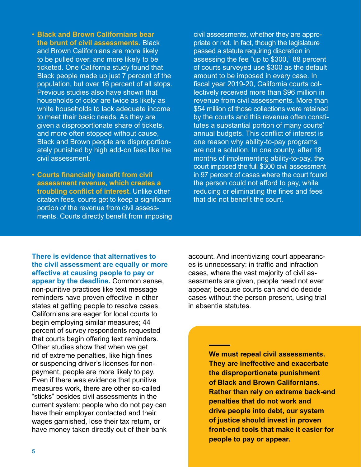- **Black and Brown Californians bear the brunt of civil assessments.** Black and Brown Californians are more likely to be pulled over, and more likely to be ticketed. One California study found that Black people made up just 7 percent of the population, but over 16 percent of all stops. Previous studies also have shown that households of color are twice as likely as white households to lack adequate income to meet their basic needs. As they are given a disproportionate share of tickets, and more often stopped without cause, Black and Brown people are disproportionately punished by high add-on fees like the civil assessment.
- **Courts financially benefit from civil assessment revenue, which creates a troubling conflict of interest.** Unlike other citation fees, courts get to keep a significant portion of the revenue from civil assessments. Courts directly benefit from imposing

civil assessments, whether they are appropriate or not. In fact, though the legislature passed a statute requiring discretion in assessing the fee "up to \$300," 88 percent of courts surveyed use \$300 as the default amount to be imposed in every case. In fiscal year 2019-20, California courts collectively received more than \$96 million in revenue from civil assessments. More than \$54 million of those collections were retained by the courts and this revenue often constitutes a substantial portion of many courts' annual budgets. This conflict of interest is one reason why ability-to-pay programs are not a solution. In one county, after 18 months of implementing ability-to-pay, the court imposed the full \$300 civil assessment in 97 percent of cases where the court found the person could not afford to pay, while reducing or eliminating the fines and fees that did not benefit the court.

**There is evidence that alternatives to the civil assessment are equally or more effective at causing people to pay or appear by the deadline.** Common sense, non-punitive practices like text message reminders have proven effective in other states at getting people to resolve cases. Californians are eager for local courts to begin employing similar measures; 44 percent of survey respondents requested that courts begin offering text reminders. Other studies show that when we get rid of extreme penalties, like high fines or suspending driver's licenses for nonpayment, people are more likely to pay. Even if there was evidence that punitive measures work, there are other so-called "sticks" besides civil assessments in the current system: people who do not pay can have their employer contacted and their wages garnished, lose their tax return, or have money taken directly out of their bank

account. And incentivizing court appearances is unnecessary: in traffic and infraction cases, where the vast majority of civil assessments are given, people need not ever appear, because courts can and do decide cases without the person present, using trial in absentia statutes.

> **We must repeal civil assessments. They are ineffective and exacerbate the disproportionate punishment of Black and Brown Californians. Rather than rely on extreme back-end penalties that do not work and drive people into debt, our system of justice should invest in proven front-end tools that make it easier for people to pay or appear.**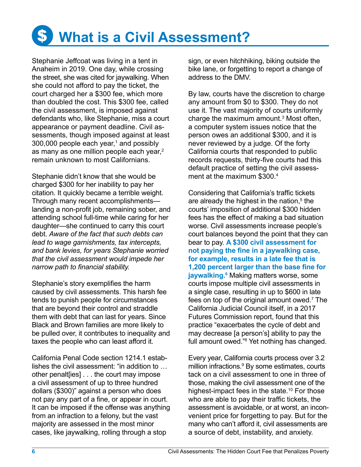

Stephanie Jeffcoat was living in a tent in Anaheim in 2019. One day, while crossing the street, she was cited for jaywalking. When she could not afford to pay the ticket, the court charged her a \$300 fee, which more than doubled the cost. This \$300 fee, called the civil assessment, is imposed against defendants who, like Stephanie, miss a court appearance or payment deadline. Civil assessments, though imposed against at least 300,000 people each year,<sup>1</sup> and possibly as many as one million people each year,<sup>2</sup> remain unknown to most Californians.

Stephanie didn't know that she would be charged \$300 for her inability to pay her citation. It quickly became a terrible weight. Through many recent accomplishments landing a non-profit job, remaining sober, and attending school full-time while caring for her daughter—she continued to carry this court debt. *Aware of the fact that such debts can lead to wage garnishments, tax intercepts, and bank levies, for years Stephanie worried that the civil assessment would impede her narrow path to financial stability.*

Stephanie's story exemplifies the harm caused by civil assessments. This harsh fee tends to punish people for circumstances that are beyond their control and straddle them with debt that can last for years. Since Black and Brown families are more likely to be pulled over, it contributes to inequality and taxes the people who can least afford it.

California Penal Code section 1214.1 establishes the civil assessment: "in addition to … other penalt[ies] . . . the court may impose a civil assessment of up to three hundred dollars (\$300)" against a person who does not pay any part of a fine, or appear in court. It can be imposed if the offense was anything from an infraction to a felony, but the vast majority are assessed in the most minor cases, like jaywalking, rolling through a stop

sign, or even hitchhiking, biking outside the bike lane, or forgetting to report a change of address to the DMV.

By law, courts have the discretion to charge any amount from \$0 to \$300. They do not use it. The vast majority of courts uniformly charge the maximum amount.<sup>3</sup> Most often, a computer system issues notice that the person owes an additional \$300, and it is never reviewed by a judge. Of the forty California courts that responded to public records requests, thirty-five courts had this default practice of setting the civil assessment at the maximum \$300.4

Considering that California's traffic tickets are already the highest in the nation,<sup>5</sup> the courts' imposition of additional \$300 hidden fees has the effect of making a bad situation worse. Civil assessments increase people's court balances beyond the point that they can bear to pay. **A \$300 civil assessment for not paying the fine in a jaywalking case, for example, results in a late fee that is 1,200 percent larger than the base fine for jaywalking.6** Making matters worse, some courts impose multiple civil assessments in a single case, resulting in up to \$600 in late fees on top of the original amount owed.<sup>7</sup> The California Judicial Council itself, in a 2017 Futures Commission report, found that this practice "exacerbates the cycle of debt and may decrease [a person's] ability to pay the full amount owed."8 Yet nothing has changed.

Every year, California courts process over 3.2 million infractions.<sup>9</sup> By some estimates, courts tack on a civil assessment to one in three of those, making the civil assessment one of the highest-impact fees in the state.<sup>10</sup> For those who are able to pay their traffic tickets, the assessment is avoidable, or at worst, an inconvenient price for forgetting to pay. But for the many who can't afford it, civil assessments are a source of debt, instability, and anxiety.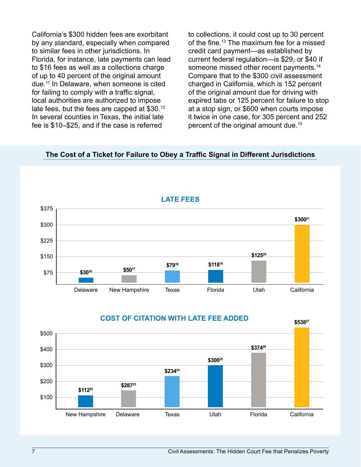California's \$300 hidden fees are exorbitant by any standard, especially when compared to similar fees in other jurisdictions. In Florida, for instance, late payments can lead to \$16 fees as well as a collections charge of up to 40 percent of the original amount due.11 In Delaware, when someone is cited for failing to comply with a traffic signal, local authorities are authorized to impose late fees, but the fees are capped at \$30.12 In several counties in Texas, the initial late fee is \$10–\$25, and if the case is referred

to collections, it could cost up to 30 percent of the fine.<sup>13</sup> The maximum fee for a missed credit card payment—as established by current federal regulation—is \$29, or \$40 if someone missed other recent payments.<sup>14</sup> Compare that to the \$300 civil assessment charged in California, which is 152 percent of the original amount due for driving with expired tabs or 125 percent for failure to stop at a stop sign, or \$600 when courts impose it twice in one case, for 305 percent and 252 percent of the original amount due.15

#### **The Cost of a Ticket for Failure to Obey a Traffic Signal in Different Jurisdictions**





**COST OF CITATION WITH LATE FEE ADDED**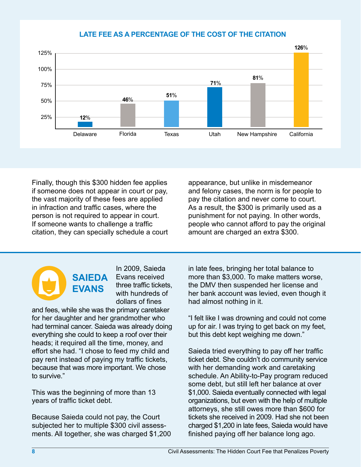#### **LATE FEE AS A PERCENTAGE OF THE COST OF THE CITATION**



Finally, though this \$300 hidden fee applies if someone does not appear in court or pay, the vast majority of these fees are applied in infraction and traffic cases, where the person is not required to appear in court. If someone wants to challenge a traffic citation, they can specially schedule a court

appearance, but unlike in misdemeanor and felony cases, the norm is for people to pay the citation and never come to court. As a result, the \$300 is primarily used as a punishment for not paying. In other words, people who cannot afford to pay the original amount are charged an extra \$300.

### **SAIEDA EVANS**

In 2009, Saieda Evans received three traffic tickets, with hundreds of dollars of fines

and fees, while she was the primary caretaker for her daughter and her grandmother who had terminal cancer. Saieda was already doing everything she could to keep a roof over their heads; it required all the time, money, and effort she had. "I chose to feed my child and pay rent instead of paying my traffic tickets, because that was more important. We chose to survive."

This was the beginning of more than 13 years of traffic ticket debt.

Because Saieda could not pay, the Court subjected her to multiple \$300 civil assessments. All together, she was charged \$1,200

in late fees, bringing her total balance to more than \$3,000. To make matters worse, the DMV then suspended her license and her bank account was levied, even though it had almost nothing in it.

"I felt like I was drowning and could not come up for air. I was trying to get back on my feet, but this debt kept weighing me down."

Saieda tried everything to pay off her traffic ticket debt. She couldn't do community service with her demanding work and caretaking schedule. An Ability-to-Pay program reduced some debt, but still left her balance at over \$1,000. Saieda eventually connected with legal organizations, but even with the help of multiple attorneys, she still owes more than \$600 for tickets she received in 2009. Had she not been charged \$1,200 in late fees, Saieda would have finished paying off her balance long ago.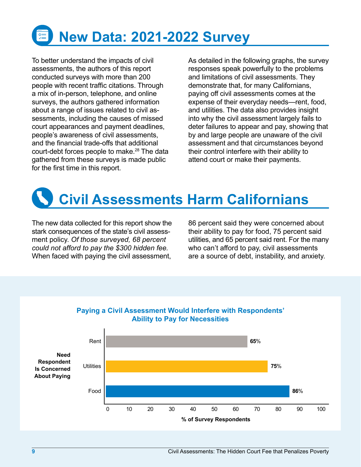

To better understand the impacts of civil assessments, the authors of this report conducted surveys with more than 200 people with recent traffic citations. Through a mix of in-person, telephone, and online surveys, the authors gathered information about a range of issues related to civil assessments, including the causes of missed court appearances and payment deadlines, people's awareness of civil assessments, and the financial trade-offs that additional court-debt forces people to make.<sup>28</sup> The data gathered from these surveys is made public for the first time in this report.

As detailed in the following graphs, the survey responses speak powerfully to the problems and limitations of civil assessments. They demonstrate that, for many Californians, paying off civil assessments comes at the expense of their everyday needs—rent, food, and utilities. The data also provides insight into why the civil assessment largely fails to deter failures to appear and pay, showing that by and large people are unaware of the civil assessment and that circumstances beyond their control interfere with their ability to attend court or make their payments.



The new data collected for this report show the stark consequences of the state's civil assessment policy. *Of those surveyed, 68 percent could not afford to pay the \$300 hidden fee.* When faced with paying the civil assessment,

86 percent said they were concerned about their ability to pay for food, 75 percent said utilities, and 65 percent said rent. For the many who can't afford to pay, civil assessments are a source of debt, instability, and anxiety.



#### **Paying a Civil Assessment Would Interfere with Respondents' Ability to Pay for Necessities**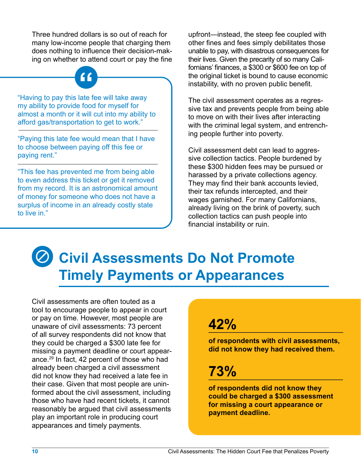Three hundred dollars is so out of reach for many low-income people that charging them does nothing to influence their decision-making on whether to attend court or pay the fine

"Having to pay this late fee will take away **"** my ability to provide food for myself for almost a month or it will cut into my ability to afford gas/transportation to get to work."

"Paying this late fee would mean that I have to choose between paying off this fee or paying rent."

"This fee has prevented me from being able to even address this ticket or get it removed from my record. It is an astronomical amount of money for someone who does not have a surplus of income in an already costly state to live in."

upfront—instead, the steep fee coupled with other fines and fees simply debilitates those unable to pay, with disastrous consequences for their lives. Given the precarity of so many Californians' finances, a \$300 or \$600 fee on top of the original ticket is bound to cause economic instability, with no proven public benefit.

The civil assessment operates as a regressive tax and prevents people from being able to move on with their lives after interacting with the criminal legal system, and entrenching people further into poverty.

Civil assessment debt can lead to aggressive collection tactics. People burdened by these \$300 hidden fees may be pursued or harassed by a private collections agency. They may find their bank accounts levied, their tax refunds intercepted, and their wages garnished. For many Californians, already living on the brink of poverty, such collection tactics can push people into financial instability or ruin.

# **Civil Assessments Do Not Promote Timely Payments or Appearances**

Civil assessments are often touted as a tool to encourage people to appear in court or pay on time. However, most people are unaware of civil assessments: 73 percent of all survey respondents did not know that they could be charged a \$300 late fee for missing a payment deadline or court appearance.<sup>29</sup> In fact, 42 percent of those who had already been charged a civil assessment did not know they had received a late fee in their case. Given that most people are uninformed about the civil assessment, including those who have had recent tickets, it cannot reasonably be argued that civil assessments play an important role in producing court appearances and timely payments.

### **42%**

**of respondents with civil assessments, did not know they had received them.**

### **73%**

**of respondents did not know they could be charged a \$300 assessment for missing a court appearance or payment deadline.**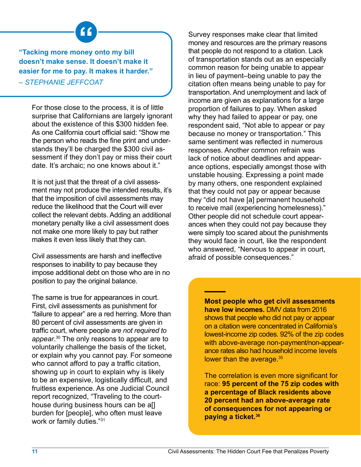**"Tacking more money onto my bill " doesn't make sense. It doesn't make it easier for me to pay. It makes it harder."**

*– STEPHANIE JEFFCOAT* 

For those close to the process, it is of little surprise that Californians are largely ignorant about the existence of this \$300 hidden fee. As one California court official said: "Show me the person who reads the fine print and understands they'll be charged the \$300 civil assessment if they don't pay or miss their court date. It's archaic; no one knows about it."

It is not just that the threat of a civil assessment may not produce the intended results, it's that the imposition of civil assessments may reduce the likelihood that the Court will ever collect the relevant debts. Adding an additional monetary penalty like a civil assessment does not make one more likely to pay but rather makes it even less likely that they can.

Civil assessments are harsh and ineffective responses to inability to pay because they impose additional debt on those who are in no position to pay the original balance.

The same is true for appearances in court. First, civil assessments as punishment for "failure to appear" are a red herring. More than 80 percent of civil assessments are given in traffic court, where people *are not required to appear*. 30 The only reasons to appear are to voluntarily challenge the basis of the ticket, or explain why you cannot pay. For someone who cannot afford to pay a traffic citation, showing up in court to explain why is likely to be an expensive, logistically difficult, and fruitless experience. As one Judicial Council report recognized, "Traveling to the courthouse during business hours can be all burden for [people], who often must leave work or family duties."31

Survey responses make clear that limited money and resources are the primary reasons that people do not respond to a citation. Lack of transportation stands out as an especially common reason for being unable to appear in lieu of payment–being unable to pay the citation often means being unable to pay for transportation. And unemployment and lack of income are given as explanations for a large proportion of failures to pay. When asked why they had failed to appear or pay, one respondent said, "Not able to appear or pay because no money or transportation." This same sentiment was reflected in numerous responses. Another common refrain was lack of notice about deadlines and appearance options, especially amongst those with unstable housing. Expressing a point made by many others, one respondent explained that they could not pay or appear because they "did not have [a] permanent household to receive mail (experiencing homelesness)." Other people did not schedule court appearances when they could not pay because they were simply too scared about the punishments they would face in court, like the respondent who answered, "Nervous to appear in court, afraid of possible consequences."

> **Most people who get civil assessments have low incomes.** DMV data from 2016 shows that people who did not pay or appear on a citation were concentrated in California's lowest-income zip codes. 92% of the zip codes with above-average non-payment/non-appearance rates also had household income levels lower than the average.<sup>35</sup>

The correlation is even more significant for race: **95 percent of the 75 zip codes with a percentage of Black residents above 20 percent had an above-average rate of consequences for not appearing or paying a ticket.36**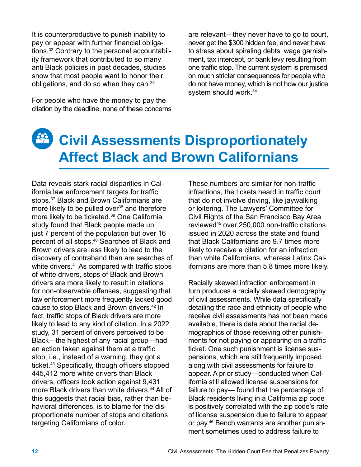It is counterproductive to punish inability to pay or appear with further financial obligations.32 Contrary to the personal accountability framework that contributed to so many anti Black policies in past decades, studies show that most people want to honor their obligations, and do so when they can.<sup>33</sup>

For people who have the money to pay the citation by the deadline, none of these concerns

are relevant—they never have to go to court, never get the \$300 hidden fee, and never have to stress about spiraling debts, wage garnishment, tax intercept, or bank levy resulting from one traffic stop. The current system is premised on much stricter consequences for people who do not have money, which is not how our justice system should work.<sup>34</sup>

#### **Civil Assessments Disproportionately Affect Black and Brown Californians**

Data reveals stark racial disparities in California law enforcement targets for traffic stops.<sup>37</sup> Black and Brown Californians are more likely to be pulled over<sup>38</sup> and therefore more likely to be ticketed.<sup>39</sup> One California study found that Black people made up just 7 percent of the population but over 16 percent of all stops.<sup>40</sup> Searches of Black and Brown drivers are less likely to lead to the discovery of contraband than are searches of white drivers.<sup>41</sup> As compared with traffic stops of white drivers, stops of Black and Brown drivers are more likely to result in citations for non-observable offenses, suggesting that law enforcement more frequently lacked good cause to stop Black and Brown drivers.42 In fact, traffic stops of Black drivers are more likely to lead to any kind of citation. In a 2022 study, 31 percent of drivers perceived to be Black—the highest of any racial group—had an action taken against them at a traffic stop, i.e., instead of a warning, they got a ticket.43 Specifically, though officers stopped 445,412 more white drivers than Black drivers, officers took action against 9,431 more Black drivers than white drivers.<sup>44</sup> All of this suggests that racial bias, rather than behavioral differences, is to blame for the disproportionate number of stops and citations targeting Californians of color.

These numbers are similar for non-traffic infractions, the tickets heard in traffic court that do not involve driving, like jaywalking or loitering. The Lawyers' Committee for Civil Rights of the San Francisco Bay Area reviewed45 over 250,000 non-traffic citations issued in 2020 across the state and found that Black Californians are 9.7 times more likely to receive a citation for an infraction than white Californians, whereas Latinx Californians are more than 5.8 times more likely.

Racially skewed infraction enforcement in turn produces a racially skewed demography of civil assessments. While data specifically detailing the race and ethnicity of people who receive civil assessments has not been made available, there is data about the racial demographics of those receiving other punishments for not paying or appearing on a traffic ticket. One such punishment is license suspensions, which are still frequently imposed along with civil assessments for failure to appear. A prior study—conducted when California still allowed license suspensions for failure to pay— found that the percentage of Black residents living in a California zip code is positively correlated with the zip code's rate of license suspension due to failure to appear or pay.46 Bench warrants are another punishment sometimes used to address failure to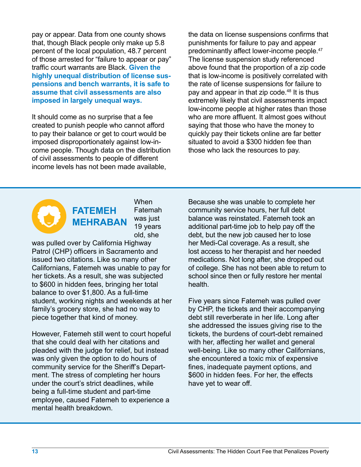pay or appear. Data from one county shows that, though Black people only make up 5.8 percent of the local population, 48.7 percent of those arrested for "failure to appear or pay" traffic court warrants are Black. **Given the highly unequal distribution of license suspensions and bench warrants, it is safe to assume that civil assessments are also imposed in largely unequal ways.** 

It should come as no surprise that a fee created to punish people who cannot afford to pay their balance or get to court would be imposed disproportionately against low-income people. Though data on the distribution of civil assessments to people of different income levels has not been made available,

the data on license suspensions confirms that punishments for failure to pay and appear predominantly affect lower-income people.<sup>47</sup> The license suspension study referenced above found that the proportion of a zip code that is low-income is positively correlated with the rate of license suspensions for failure to pay and appear in that zip code.<sup>48</sup> It is thus extremely likely that civil assessments impact low-income people at higher rates than those who are more affluent. It almost goes without saying that those who have the money to quickly pay their tickets online are far better situated to avoid a \$300 hidden fee than those who lack the resources to pay.



When Fatemah was just 19 years old, she

was pulled over by California Highway Patrol (CHP) officers in Sacramento and issued two citations. Like so many other Californians, Fatemeh was unable to pay for her tickets. As a result, she was subjected to \$600 in hidden fees, bringing her total balance to over \$1,800. As a full-time student, working nights and weekends at her family's grocery store, she had no way to piece together that kind of money.

However, Fatemeh still went to court hopeful that she could deal with her citations and pleaded with the judge for relief, but instead was only given the option to do hours of community service for the Sheriff's Department. The stress of completing her hours under the court's strict deadlines, while being a full-time student and part-time employee, caused Fatemeh to experience a mental health breakdown.

Because she was unable to complete her community service hours, her full debt balance was reinstated. Fatemeh took an additional part-time job to help pay off the debt, but the new job caused her to lose her Medi-Cal coverage. As a result, she lost access to her therapist and her needed medications. Not long after, she dropped out of college. She has not been able to return to school since then or fully restore her mental health.

Five years since Fatemeh was pulled over by CHP, the tickets and their accompanying debt still reverberate in her life. Long after she addressed the issues giving rise to the tickets, the burdens of court-debt remained with her, affecting her wallet and general well-being. Like so many other Californians, she encountered a toxic mix of expensive fines, inadequate payment options, and \$600 in hidden fees. For her, the effects have yet to wear off.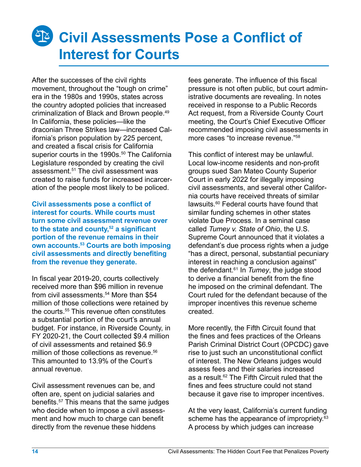# **28 Civil Assessments Pose a Conflict of Interest for Courts**

After the successes of the civil rights movement, throughout the "tough on crime" era in the 1980s and 1990s, states across the country adopted policies that increased criminalization of Black and Brown people.<sup>49</sup> In California, these policies—like the draconian Three Strikes law—increased California's prison population by 225 percent, and created a fiscal crisis for California superior courts in the 1990s.<sup>50</sup> The California Legislature responded by creating the civil assessment.51 The civil assessment was created to raise funds for increased incarceration of the people most likely to be policed.

**Civil assessments pose a conflict of interest for courts. While courts must turn some civil assessment revenue over to the state and county,52 a significant portion of the revenue remains in their own accounts.53 Courts are both imposing civil assessments and directly benefiting from the revenue they generate.** 

In fiscal year 2019-20, courts collectively received more than \$96 million in revenue from civil assessments.<sup>54</sup> More than \$54 million of those collections were retained by the courts.<sup>55</sup> This revenue often constitutes a substantial portion of the court's annual budget. For instance, in Riverside County, in FY 2020-21, the Court collected \$9.4 million of civil assessments and retained \$6.9 million of those collections as revenue.<sup>56</sup> This amounted to 13.9% of the Court's annual revenue.

Civil assessment revenues can be, and often are, spent on judicial salaries and benefits.57 This means that the same judges who decide when to impose a civil assessment and how much to charge can benefit directly from the revenue these hiddens

fees generate. The influence of this fiscal pressure is not often public, but court administrative documents are revealing. In notes received in response to a Public Records Act request, from a Riverside County Court meeting, the Court's Chief Executive Officer recommended imposing civil assessments in more cases "to increase revenue."58

This conflict of interest may be unlawful. Local low-income residents and non-profit groups sued San Mateo County Superior Court in early 2022 for illegally imposing civil assessments, and several other California courts have received threats of similar lawsuits.60 Federal courts have found that similar funding schemes in other states violate Due Process. In a seminal case called *Tumey v. State of Ohio*, the U.S. Supreme Court announced that it violates a defendant's due process rights when a judge "has a direct, personal, substantial pecuniary interest in reaching a conclusion against" the defendant.61 In *Tumey*, the judge stood to derive a financial benefit from the fine he imposed on the criminal defendant. The Court ruled for the defendant because of the improper incentives this revenue scheme created.

More recently, the Fifth Circuit found that the fines and fees practices of the Orleans Parish Criminal District Court (OPCDC) gave rise to just such an unconstitutional conflict of interest. The New Orleans judges would assess fees and their salaries increased as a result.<sup>62</sup> The Fifth Circuit ruled that the fines and fees structure could not stand because it gave rise to improper incentives.

At the very least, California's current funding scheme has the appearance of impropriety.<sup>63</sup> A process by which judges can increase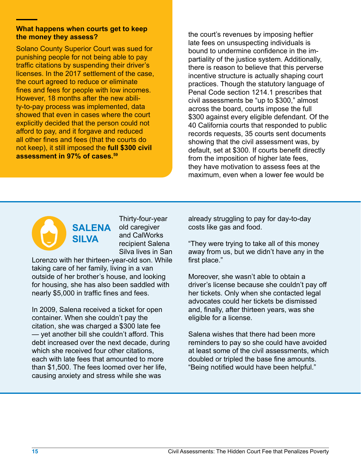#### **What happens when courts get to keep the money they assess?**

Solano County Superior Court was sued for punishing people for not being able to pay traffic citations by suspending their driver's licenses. In the 2017 settlement of the case, the court agreed to reduce or eliminate fines and fees for people with low incomes. However, 18 months after the new ability-to-pay process was implemented, data showed that even in cases where the court explicitly decided that the person could not afford to pay, and it forgave and reduced all other fines and fees (that the courts do not keep), it still imposed the **full \$300 civil assessment in 97% of cases.59**

the court's revenues by imposing heftier late fees on unsuspecting individuals is bound to undermine confidence in the impartiality of the justice system. Additionally, there is reason to believe that this perverse incentive structure is actually shaping court practices. Though the statutory language of Penal Code section 1214.1 prescribes that civil assessments be "up to \$300," almost across the board, courts impose the full \$300 against every eligible defendant. Of the 40 California courts that responded to public records requests, 35 courts sent documents showing that the civil assessment was, by default, set at \$300. If courts benefit directly from the imposition of higher late fees, they have motivation to assess fees at the maximum, even when a lower fee would be

## **SALENA SILVA**

Thirty-four-year old caregiver and CalWorks recipient Salena Silva lives in San

Lorenzo with her thirteen-year-old son. While taking care of her family, living in a van outside of her brother's house, and looking for housing, she has also been saddled with nearly \$5,000 in traffic fines and fees.

In 2009, Salena received a ticket for open container. When she couldn't pay the citation, she was charged a \$300 late fee — yet another bill she couldn't afford. This debt increased over the next decade, during which she received four other citations, each with late fees that amounted to more than \$1,500. The fees loomed over her life, causing anxiety and stress while she was

already struggling to pay for day-to-day costs like gas and food.

"They were trying to take all of this money away from us, but we didn't have any in the first place."

Moreover, she wasn't able to obtain a driver's license because she couldn't pay off her tickets. Only when she contacted legal advocates could her tickets be dismissed and, finally, after thirteen years, was she eligible for a license.

Salena wishes that there had been more reminders to pay so she could have avoided at least some of the civil assessments, which doubled or tripled the base fine amounts. "Being notified would have been helpful."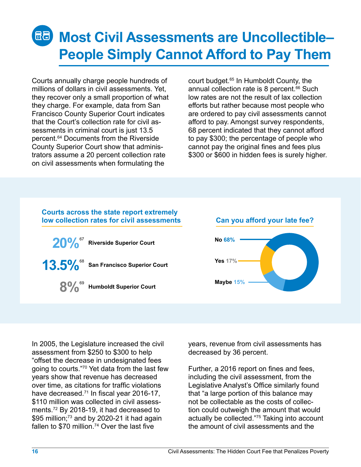# **Most Civil Assessments are Uncollectible– People Simply Cannot Afford to Pay Them**

Courts annually charge people hundreds of millions of dollars in civil assessments. Yet, they recover only a small proportion of what they charge. For example, data from San Francisco County Superior Court indicates that the Court's collection rate for civil assessments in criminal court is just 13.5 percent.64 Documents from the Riverside County Superior Court show that administrators assume a 20 percent collection rate on civil assessments when formulating the

court budget.<sup>65</sup> In Humboldt County, the annual collection rate is 8 percent.<sup>66</sup> Such low rates are not the result of lax collection efforts but rather because most people who are ordered to pay civil assessments cannot afford to pay. Amongst survey respondents, 68 percent indicated that they cannot afford to pay \$300; the percentage of people who cannot pay the original fines and fees plus \$300 or \$600 in hidden fees is surely higher.

#### **Courts across the state report extremely low collection rates for civil assessments Can you afford your late fee? 20% Riverside Superior Court** 67

**13.5%** San Francisco Superior Court



**8% Humboldt Superior Court**

# **No 68% Yes 17% Maybe 15%**

In 2005, the Legislature increased the civil assessment from \$250 to \$300 to help "offset the decrease in undesignated fees going to courts."70 Yet data from the last few years show that revenue has decreased over time, as citations for traffic violations have decreased.<sup>71</sup> In fiscal year 2016-17, \$110 million was collected in civil assessments.72 By 2018-19, it had decreased to \$95 million; $73$  and by 2020-21 it had again fallen to  $$70$  million.<sup>74</sup> Over the last five

years, revenue from civil assessments has decreased by 36 percent.

Further, a 2016 report on fines and fees, including the civil assessment, from the Legislative Analyst's Office similarly found that "a large portion of this balance may not be collectable as the costs of collection could outweigh the amount that would actually be collected."75 Taking into account the amount of civil assessments and the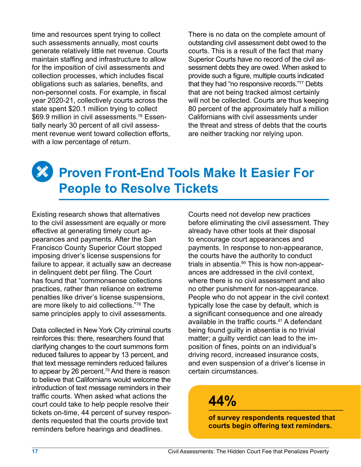time and resources spent trying to collect such assessments annually, most courts generate relatively little net revenue. Courts maintain staffing and infrastructure to allow for the imposition of civil assessments and collection processes, which includes fiscal obligations such as salaries, benefits, and non-personnel costs. For example, in fiscal year 2020-21, collectively courts across the state spent \$20.1 million trying to collect \$69.9 million in civil assessments.<sup>76</sup> Essentially nearly 30 percent of all civil assessment revenue went toward collection efforts, with a low percentage of return.

There is no data on the complete amount of outstanding civil assessment debt owed to the courts. This is a result of the fact that many Superior Courts have no record of the civil assessment debts they are owed. When asked to provide such a figure, multiple courts indicated that they had "no responsive records."77 Debts that are not being tracked almost certainly will not be collected. Courts are thus keeping 80 percent of the approximately half a million Californians with civil assessments under the threat and stress of debts that the courts are neither tracking nor relying upon.

#### **Proven Front-End Tools Make It Easier For People to Resolve Tickets**

Existing research shows that alternatives to the civil assessment are equally or more effective at generating timely court appearances and payments. After the San Francisco County Superior Court stopped imposing driver's license suspensions for failure to appear, it actually saw an decrease in delinquent debt per filing. The Court has found that "commonsense collections practices, rather than reliance on extreme penalties like driver's license suspensions, are more likely to aid collections."78 The same principles apply to civil assessments.

Data collected in New York City criminal courts reinforces this: there, researchers found that clarifying changes to the court summons form reduced failures to appear by 13 percent, and that text message reminders reduced failures to appear by 26 percent.<sup>79</sup> And there is reason to believe that Californians would welcome the introduction of text message reminders in their traffic courts. When asked what actions the court could take to help people resolve their tickets on-time, 44 percent of survey respondents requested that the courts provide text reminders before hearings and deadlines.

Courts need not develop new practices before eliminating the civil assessment. They already have other tools at their disposal to encourage court appearances and payments. In response to non-appearance, the courts have the authority to conduct trials in absentia. $80$  This is how non-appearances are addressed in the civil context, where there is no civil assessment and also no other punishment for non-appearance. People who do not appear in the civil context typically lose the case by default, which is a significant consequence and one already available in the traffic courts.<sup>81</sup> A defendant being found guilty in absentia is no trivial matter; a guilty verdict can lead to the imposition of fines, points on an individual's driving record, increased insurance costs, and even suspension of a driver's license in certain circumstances.

### **44%**

**of survey respondents requested that courts begin offering text reminders.**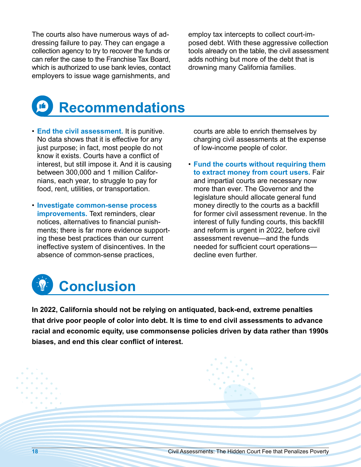The courts also have numerous ways of addressing failure to pay. They can engage a collection agency to try to recover the funds or can refer the case to the Franchise Tax Board, which is authorized to use bank levies, contact employers to issue wage garnishments, and

employ tax intercepts to collect court-imposed debt. With these aggressive collection tools already on the table, the civil assessment adds nothing but more of the debt that is drowning many California families.



- **End the civil assessment.** It is punitive. No data shows that it is effective for any just purpose; in fact, most people do not know it exists. Courts have a conflict of interest, but still impose it. And it is causing between 300,000 and 1 million Californians, each year, to struggle to pay for food, rent, utilities, or transportation.
- **Investigate common-sense process improvements.** Text reminders, clear notices, alternatives to financial punishments; there is far more evidence supporting these best practices than our current ineffective system of disincentives. In the absence of common-sense practices,

courts are able to enrich themselves by charging civil assessments at the expense of low-income people of color.

• **Fund the courts without requiring them to extract money from court users.** Fair and impartial courts are necessary now more than ever. The Governor and the legislature should allocate general fund money directly to the courts as a backfill for former civil assessment revenue. In the interest of fully funding courts, this backfill and reform is urgent in 2022, before civil assessment revenue—and the funds needed for sufficient court operations decline even further.



**In 2022, California should not be relying on antiquated, back-end, extreme penalties that drive poor people of color into debt. It is time to end civil assessments to advance racial and economic equity, use commonsense policies driven by data rather than 1990s biases, and end this clear conflict of interest.**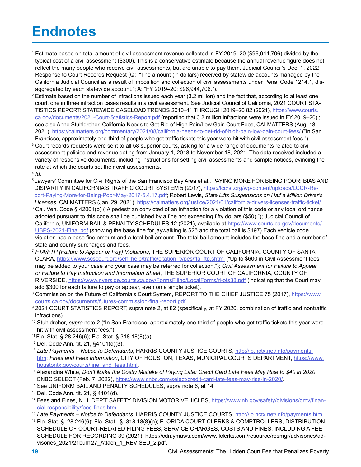### **Endnotes**

- <sup>1</sup> Estimate based on total amount of civil assessment revenue collected in FY 2019–20 (\$96,944,706) divided by the typical cost of a civil assessment (\$300). This is a conservative estimate because the annual revenue figure does not reflect the many people who receive civil assessments, but are unable to pay them. Judicial Council's Dec. 1, 2022 Response to Court Records Request (Q: "The amount (in dollars) received by statewide accounts managed by the California Judicial Council as a result of imposition and collection of civil assessments under Penal Code 1214.1, disaggregated by each statewide account."; A: "FY 2019–20: \$96,944,706.").
- <sup>2</sup> Estimate based on the number of infractions issued each year (3.2 million) and the fact that, according to at least one court, one in three infraction cases results in a civil assessment. See Judicial Council of California, 2021 COURT STA-TISTICS REPORT: STATEWIDE CASELOAD TRENDS 2010–11 THROUGH 2019–20 82 (2021), [https://www.courts.](https://www.courts.ca.gov/documents/2021-Court-Statistics-Report.pdf) [ca.gov/documents/2021-Court-Statistics-Report.pdf](https://www.courts.ca.gov/documents/2021-Court-Statistics-Report.pdf) (reporting that 3.2 million infractions were issued in FY 2019–20).; see also Anne Stuhldreher, California Needs to Get Rid of High Pain/Low Gain Court Fees, CALMATTERS (Aug. 18, 2021),<https://calmatters.org/commentary/2021/08/california-needs-to-get-rid-of-high-pain-low-gain-court-fees/> ("In San Francisco, approximately one-third of people who got traffic tickets this year were hit with civil assessment fees.").
- <sup>3</sup> Court records requests were sent to all 58 superior courts, asking for a wide range of documents related to civil assessment policies and revenue dating from January 1, 2018 to November 18, 2021. The data received included a variety of responsive documents, including instructions for setting civil assessments and sample notices, evincing the rate at which the courts set their civil assessments.
- <sup>4</sup> *Id.*
- 5 Lawyers' Committee for Civil Rights of the San Francisco Bay Area et al., PAYING MORE FOR BEING POOR: BIAS AND DISPARITY IN CALIFORNIA'S TRAFFIC COURT SYSTEM 5 (2017), [https://lccrsf.org/wp-content/uploads/LCCR-Re](https://lccrsf.org/wp-content/uploads/LCCR-Report-Paying-More-for-Being-Poor-May-2017-5.4.17.pdf)[port-Paying-More-for-Being-Poor-May-2017-5.4.17.pdf;](https://lccrsf.org/wp-content/uploads/LCCR-Report-Paying-More-for-Being-Poor-May-2017-5.4.17.pdf) Robert Lewis, *State Lifts Suspensions on Half a Million Driver's*
- Licenses, CALMATTERS (Jan. 29, 2021), https://calmatters.org/justice/2021/01/california-drivers-licenses-traffic-ticket/.<br>Cal. Veh. Code § 42001(b) ("A pedestrian convicted of an infraction for a violation of this code or adopted pursuant to this code shall be punished by a fine not exceeding fifty dollars (\$50)."); Judicial Council of California, UNIFORM BAIL & PENALTY SCHEDULES 12 (2021), available at [https://www.courts.ca.gov/documents/](https://www.courts.ca.gov/documents/UBPS-2021-Final.pdf) [UBPS-2021-Final.pdf](https://www.courts.ca.gov/documents/UBPS-2021-Final.pdf) (showing the base fine for jaywalking is \$25 and the total bail is \$197).Each vehicle code violation has a base fine amount and a total bail amount. The total bail amount includes the base fine and a number of state and county surcharges and fees.
- <sup>7</sup> *FTA/FTP (Failure to Appear or Pay) Violations*, THE SUPERIOR COURT OF CALIFORNIA, COUNTY OF SANTA CLARA, [https://www.scscourt.org/self\\_help/traffic/citation\\_types/fta\\_ftp.shtml](https://www.scscourt.org/self_help/traffic/citation_types/fta_ftp.shtml) ("Up to \$600 in Civil Assessment fees may be added to your case and your case may be referred for collection."); *Civil Assessment for Failure to Appear or Failure to Pay Instruction and Information Sheet*, THE SUPERIOR COURT OF CALIFORNIA, COUNTY OF RIVERSIDE,<https://www.riverside.courts.ca.gov/FormsFiling/LocalForms/ri-ots38.pdf> (indicating that the Court may add \$300 for each failure to pay or appear, even on a single ticket).
- 8 Commission on the Future of California's Court System, REPORT TO THE CHIEF JUSTICE 75 (2017), [https://www.](https://www.courts.ca.gov/documents/futures-commission-final-report.pdf) [courts.ca.gov/documents/futures-commission-final-report.pdf](https://www.courts.ca.gov/documents/futures-commission-final-report.pdf).
- <sup>9</sup> 2021 COURT STATISTICS REPORT, supra note 2, at 82 (specifically, at FY 2020, combination of traffic and nontraffic infractions).
- <sup>10</sup> Stuhldreher, *supra* note 2 ("In San Francisco, approximately one-third of people who got traffic tickets this year were hit with civil assessment fees.").
- 11 Fla. Stat. § 28.246(6); Fla. Stat. § 318.18(8)(a).
- 12 Del. Code Ann. tit. 21, §4101(d)(3).
- <sup>13</sup> *Late Payments Notice to Defendants*, HARRIS COUNTY JUSTICE COURTS, [http://jp.hctx.net/info/payments.](http://jp.hctx.net/info/payments.htm) [htm;](http://jp.hctx.net/info/payments.htm) *Fines and Fees Information*, CITY OF HOUSTON, TEXAS, MUNICIPAL COURTS DEPARTMENT, [https://www.](https://www.houstontx.gov/courts/fine_and_fees.html) houstontx.gov/courts/fine\_and\_fees.html. 14 Alexandria White, *Don't Make the Costly Mistake of Paying Late: Credit Card Late Fees May Rise to \$40 in 2020*,
- CNBC SELECT (Feb. 7, 2022), [https://www.cnbc.com/select/credit-card-late-fees-may-rise-in-2020/.](https://www.cnbc.com/select/credit-card-late-fees-may-rise-in-2020/) 15 See UNIFORM BAIL AND PENALTY SCHEDULES, supra note 6, at 14.
- 
- 16 Del. Code Ann. tit. 21, § 4101(d).
- <sup>17</sup> Fees and Fines, N.H. DEP'T SAFETY DIVISION MOTOR VEHICLES, [https://www.nh.gov/safety/divisions/dmv/finan](https://www.nh.gov/safety/divisions/dmv/financial-responsibility/fees-fines.htm)[cial-responsibility/fees-fines.htm](https://www.nh.gov/safety/divisions/dmv/financial-responsibility/fees-fines.htm).
- <sup>18</sup> *Late Payments Notice to Defendants*, HARRIS COUNTY JUSTICE COURTS, [http://jp.hctx.net/info/payments.htm.](http://jp.hctx.net/info/payments.htm)
- <sup>19</sup> Fla. Stat. § 28.246(6); Fla. Stat. § 318.18(8)(a); FLORIDA COURT CLERKS & COMPTROLLERS, DISTRIBUTION SCHEDULE OF COURT-RELATED FILING FEES, SERVICE CHARGES, COSTS AND FINES, INCLUDING A FEE SCHEDULE FOR RECORDING 39 (2021), https://cdn.ymaws.com/www.flclerks.com/resource/resmgr/advisories/advisories\_2021/21bull127\_Attach\_1\_REVISED\_2.pdf.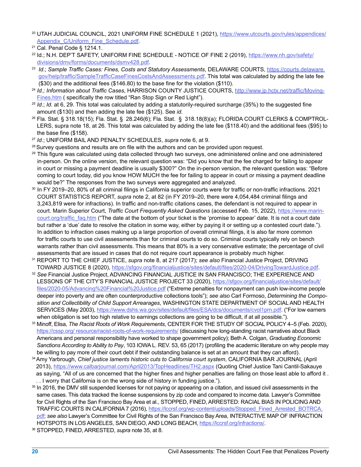- <sup>20</sup> UTAH JUDICIAL COUNCIL, 2021 UNIFORM FINE SCHEDULE 1 (2021), [https://www.utcourts.gov/rules/appendices/](https://www.utcourts.gov/rules/appendices/Appendix_C/Uniform_Fine_Schedule.pdf) [Appendix\\_C/Uniform\\_Fine\\_Schedule.pdf.](https://www.utcourts.gov/rules/appendices/Appendix_C/Uniform_Fine_Schedule.pdf)
- 21 Cal. Penal Code § 1214.1.
- <sup>22</sup> Id.; N.H. DEP'T SAFETY, UNIFORM FINE SCHEDULE NOTICE OF FINE 2 (2019), [https://www.nh.gov/safety/](https://www.nh.gov/safety/divisions/dmv/forms/documents/dsmv428.pdf) [divisions/dmv/forms/documents/dsmv428.pdf](https://www.nh.gov/safety/divisions/dmv/forms/documents/dsmv428.pdf). 23 *Id*.; *Sample Traffic Cases: Fines, Costs and Statutory Assessments*, DELAWARE COURTS, [https://courts.delaware.](https://courts.delaware.gov/help/traffic/SampleTrafficCaseFinesCostsAndAssessments.pdf)
- [gov/help/traffic/SampleTrafficCaseFinesCostsAndAssessments.pdf](https://courts.delaware.gov/help/traffic/SampleTrafficCaseFinesCostsAndAssessments.pdf). This total was calculated by adding the late fee (\$30) and the additional fees (\$146.80) to the base fine for the violation (\$110).
- <sup>24</sup> *Id.; Information about Traffic Cases*, HARRISON COUNTY JUSTICE COURTS, [http://www.jp.hctx.net/traffic/Moving](http://www.jp.hctx.net/traffic/MovingFines.htm)-[Fines.htm](http://www.jp.hctx.net/traffic/MovingFines.htm) ( specifically the row titled "Ran Stop Sign or Red Light").
- <sup>25</sup> *Id.*; *Id.* at 6, 29. This total was calculated by adding a statutorily-required surcharge (35%) to the suggested fine
- amount (\$130) and then adding the late fee (\$125). See *id*.<br><sup>26</sup> Fla. Stat. § 318.18(15); Fla. Stat. § 28.246(6); Fla. Stat. § 318.18(8)(a); FLORIDA COURT CLERKS & COMPTROL-LERS, supra note 18, at 26. This total was calculated by adding the late fee (\$118.40) and the additional fees (\$95) to the base fine (\$158).
- <sup>27</sup> *Id*.; UNIFORM BAIL AND PENALTY SCHEDULES, *supra* note 6, at 9.
- $28$  Survey questions and results are on file with the authors and can be provided upon request.
- 29 This figure was calculated using data collected through two surveys, one administered online and one administered in-person. On the online version, the relevant question was: "Did you know that the fee charged for failing to appear in court or missing a payment deadline is usually \$300?" On the in-person version, the relevant question was: "Before coming to court today, did you know HOW MUCH the fee for failing to appear in court or missing a payment deadline would be?" The responses from the two surveys were aggregated and analyzed.
- <sup>30</sup>In FY 2019–20, 80% of all criminal filings in California superior courts were for traffic or non-traffic infractions. 2021 COURT STATISTICS REPORT, *supra* note 2, at 82 (in FY 2019–20, there were 4,054,484 criminal filings and 3,243,819 were for infractions). In traffic and non-traffic citations cases, the defendant is not required to appear in court. Marin Superior Court, *Traffic Court Frequently Asked Questions* (accessed Feb. 15, 2022), [https://www.marin](https://www.marincourt.org/traffic_faq.htm)court.org/traffic faq.htm ("The date at the bottom of your ticket is the 'promise to appear' date. It is not a court date but rather a 'due' date to resolve the citation in some way, either by paying it or setting up a contested court date."). In addition to infraction cases making up a large proportion of overall criminal filings, it is also far more common for traffic courts to use civil assessments than for criminal courts to do so. Criminal courts typically rely on bench warrants rather than civil assessments. This means that 80% is a very conservative estimate; the percentage of civil assessments that are issued in cases that do not require court appearance is probably much higher. 31 REPORT TO THE CHIEF JUSTICE, *supra* note 8, at 217 (2017); *see also* Financial Justice Project, DRIVING
- TOWARD JUSTICE 8 (2020), https://sfgov.org/financialjustice/sites/default/files/2020-04/DrivingTowardJustice.pdf[.](https://sfgov.org/financialjustice/sites/default/files/2020-04/DrivingTowardJustice.pdf) 32 *See* Financial Justice Project, ADVANCING FINANCIAL JUSTICE IN SAN FRANCISCO; THE EXPERIENCE AND
- LESSONS OF THE CITY'S FINANCIAL JUSTICE PROJECT 33 (2020), [https://sfgov.org/financialjustice/sites/default/](https://sfgov.org/financialjustice/sites/default/files/2020-05/Advancing%20Financial%20Justice.pdf) [files/2020-05/Advancing%20Financial%20Justice.pdf](https://sfgov.org/financialjustice/sites/default/files/2020-05/Advancing%20Financial%20Justice.pdf) ("Extreme penalties for nonpayment can push low-income people deeper into poverty and are often counterproductive collections tools"); *see also* Carl Formoso, *Determining the Composition and Collectibility of Child Support Arrearages*, WASHINGTON STATE DEPARTMENT OF SOCIAL AND HEALTH SERVICES (May 2003), <https://www.dshs.wa.gov/sites/default/files/ESA/dcs/documents/cvol1prn.pdf>. ("For low earners when obligation is set too high relative to earnings collections are going to be difficult, if at all possible.").
- <sup>33</sup> Minoff, Elisa, *The Racist Roots of Work Requirements*, CENTER FOR THE STUDY OF SOCIAL POLICY 4–5 (Feb. 2020), <https://cssp.org/ resource/racist-roots-of-work-requirements/>(discussing how long-standing racist narratives about Black Americans and personal responsibility have worked to shape government policy); Beth A. Colgan, *Graduating Economic Sanctions According to Ability to Pay*, 103 IOWA L. REV. 53, 65 (2017) (profiling the academic literature on why people may be willing to pay more of their court debt if their outstanding balance is set at an amount that they can afford).
- 34 Amy Yarbrough, *Chief justice laments historic cuts to California court system*, CALIFORNIA BAR JOURNAL (April 2013), <https://www.calbarjournal.com/April2013/TopHeadlines/TH2.aspx> (Quoting Chief Justice Tani Cantil-Sakauye as saying, "All of us are concerned that the higher fines and higher penalties are falling on those least able to afford it . . . I worry that California is on the wrong side of history in funding justice.").
- <sup>35</sup> In 2016, the DMV still suspended licenses for not paying or appearing on a citation, and issued civil assessments in the same cases. This data tracked the license suspensions by zip code and compared to income data. Lawyer's Committee for Civil Rights of the San Francisco Bay Area et al., STOPPED, FINED, ARRESTED: RACIAL BIAS IN POLICING AND TRAFFIC COURTS IN CALIFORNIA 7 (2016), [https://lccrsf.org/wp-content/uploads/Stopped\\_Fined\\_Arrested\\_BOTRCA.](https://lccrsf.org/wp-content/uploads/Stopped_Fined_Arrested_BOTRCA.pdf) [pdf](https://lccrsf.org/wp-content/uploads/Stopped_Fined_Arrested_BOTRCA.pdf); *see also* Lawyer's Committee for Civil Rights of the San Francisco Bay Area, INTERACTIVE MAP OF INFRACTION HOTSPOTS IN LOS ANGELES, SAN DIEGO, AND LONG BEACH, <https://lccrsf.org/infractions/>.
- 36 STOPPED, FINED, ARRESTED, *supra* note 35, at 8.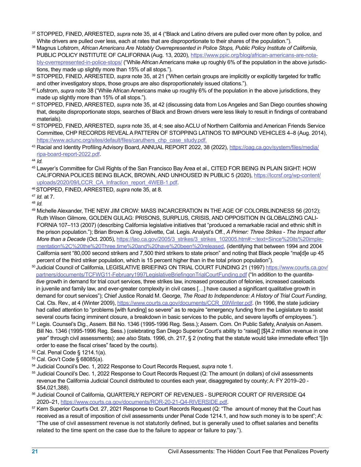- <sup>37</sup> STOPPED, FINED, ARRESTED, *supra* note 35, at 4 ("Black and Latino drivers are pulled over more often by police, and White drivers are pulled over less, each at rates that are disproportionate to their shares of the population.").
- <sup>38</sup> Magnus Lofstrom, *African Americans Are Notably Overrepresented in Police Stops, Public Policy Institute of California*, PUBLIC POLICY INSTITUTE OF CALIFORNIA (Aug. 13, 2020), [https://www.ppic.org/blog/african-americans-are-nota](https://www.ppic.org/blog/african-americans-are-notably-overrepresented-in-police-stops/)[bly-overrepresented-in-police-stops/](https://www.ppic.org/blog/african-americans-are-notably-overrepresented-in-police-stops/) ("While African Americans make up roughly 6% of the population in the above jurisdictions, they made up slightly more than 15% of all stops.").
- <sup>39</sup> STOPPED, FINED, ARRESTED, *supra* note 35, at 21 ("When certain groups are implicitly or explicitly targeted for traffic and other investigatory stops, those groups are also disproportionately issued citations.").
- <sup>40</sup> Lofstrom, *supra* note 38 ("While African Americans make up roughly 6% of the population in the above jurisdictions, they made up slightly more than 15% of all stops.").
- <sup>41</sup> STOPPED, FINED, ARRESTED, *supra* note 35, at 42 (discussing data from Los Angeles and San Diego counties showing that, despite disproportionate stops, searches of Black and Brown drivers were less likely to result in findings of contraband materials).
- <sup>42</sup> STOPPED, FINED, ARRESTED, *supra* note 35, at 4; see also ACLU of Northern California and American Friends Service Committee, CHP RECORDS REVEAL A PATTERN OF STOPPING LATINOS TO IMPOUND VEHICLES 4–8 (Aug. 2014), [https://www.aclunc.org/sites/default/files/caruthers\\_chp\\_case\\_study.pdf.](https://www.aclunc.org/sites/default/files/caruthers_chp_case_study.pdf)
- <sup>43</sup> Racial and Identity Profiling Advisory Board, ANNUAL REPORT 2022, 38 (2022), [https://oag.ca.gov/system/files/media/](https://oag.ca.gov/system/files/media/ripa-board-report-2022.pdf) [ripa-board-report-2022.pdf.](https://oag.ca.gov/system/files/media/ripa-board-report-2022.pdf)
- <sup>44</sup> *Id.*
- <sup>45</sup> Lawyer's Committee for Civil Rights of the San Francisco Bay Area et al., CITED FOR BEING IN PLAIN SIGHT: HOW CALIFORNIA POLICES BEING BLACK, BROWN, AND UNHOUSED IN PUBLIC 5 (2020), [https://lccrsf.org/wp-content/](https://lccrsf.org/wp-content/uploads/2020/09/LCCR_CA_Infraction_report_4WEB-1.pdf) [uploads/2020/09/LCCR\\_CA\\_Infraction\\_report\\_4WEB-1.pdf](https://lccrsf.org/wp-content/uploads/2020/09/LCCR_CA_Infraction_report_4WEB-1.pdf).
- 46 STOPPED, FINED, ARRESTED, *supra* note 35, at 8.
- <sup>47</sup> *Id.* at 7.
- <sup>48</sup> *Id.*
- <sup>49</sup> Michelle Alexander, THE NEW JIM CROW: MASS INCARCERATION IN THE AGE OF COLORBLINDNESS 56 (2012); Ruth Wilson Gilmore, GOLDEN GULAG: PRISONS, SURPLUS, CRISIS, AND OPPOSITION IN GLOBALIZING CALI-FORNIA 107–113 (2007) (describing California legislative initiatives that "produced a remarkable racial and ethnic shift in the prison population."); Brian Brown & Greg Jolivette, Cal. Legis. Analyst's Off., *A Primer: Three Strikes - The Impact after More than a Decade* (Oct. 2005), [https://lao.ca.gov/2005/3\\_strikes/3\\_strikes\\_102005.htm#:~:text=Since%20its%20imple](https://lao.ca.gov/2005/3_strikes/3_strikes_102005.htm#:~:text=Since%20its%20implementation%2C%20the%20Three,time%20and%20have%20been%20released)[mentation%2C%20the%20Three,time%20and%20have%20been%20released](https://lao.ca.gov/2005/3_strikes/3_strikes_102005.htm#:~:text=Since%20its%20implementation%2C%20the%20Three,time%20and%20have%20been%20released), (identifying that between 1994 and 2004 California sent "80,000 second strikers and 7,500 third strikers to state prison" and noting that Black people "ma[d]e up 45 percent of the third striker population, which is 15 percent higher than in the total prison population").
- 50 Judicial Council of California, LEGISLATIVE BRIEFING ON TRIAL COURT FUNDING 21 (1997) [https://www.courts.ca.gov/](https://www.courts.ca.gov/partners/documents/TCFWG11-February1997LegislativeBriefingonTrialCourtFunding.pdf) [partners/documents/TCFWG11-February1997LegislativeBriefingonTrialCourtFunding.pdf](https://www.courts.ca.gov/partners/documents/TCFWG11-February1997LegislativeBriefingonTrialCourtFunding.pdf) ("In addition to the *quantitative* growth in demand for trial court services, three strikes law, increased prosecution of felonies, increased caseloads in juvenile and family law, and ever-greater complexity in civil cases […] have caused a significant qualitative growth in demand for court services"); Chief Justice Ronald M. George, *The Road to Independence: A History of Trial Court Funding*, Cal. Cts. Rev., at 4 (Winter 2009), [https://www.courts.ca.gov/documents/CCR\\_09Winter.pdf.](https://www.courts.ca.gov/documents/CCR_09Winter.pdf) (In 1996, the state judiciary had called attention to "problems [with funding] so severe" as to require "emergency funding from the Legislature to assist several courts facing imminent closure, a breakdown in basic services to the public, and severe layoffs of employees.").
- <sup>51</sup> Legis. Counsel's Dig., Assem. Bill No. 1346 (1995-1996 Reg. Sess.); Assem. Com. On Public Safety, Analysis on Assem. Bill No. 1346 (1995-1996 Reg. Sess.) (celebrating San Diego Superior Court's ability to "raise[] [\$]4.2 million revenue in one year" through civil assessments); *see also* Stats. 1996, ch. 217, § 2 (noting that the statute would take immediate effect "[i]n order to ease the fiscal crises" faced by the courts).
- 52 Cal. Penal Code § 1214.1(a).
- 53 Cal. Gov't Code § 68085(a).
- 
- <sup>54</sup> Judicial Council's Dec. 1, 2022 Response to Court Records Request, *supra* note 1.<br><sup>55</sup> Judicial Council's Dec. 1, 2022 Response to Court Records Request (Q: The amount (in dollars) of civil assessments revenue the California Judicial Council distributed to counties each year, disaggregated by county; A: FY 2019–20 - \$54,021,388).
- <sup>56</sup> Judicial Council of California, QUARTERLY REPORT OF REVENUES SUPERIOR COURT OF RIVERSIDE Q4 2020–21,<https://www.courts.ca.gov/documents/ROR-20-21-Q4-RIVERSIDE.pdf>.<br><sup>57</sup> Kern Superior Court's Oct. 27, 2021 Response to Court Records Request (Q: "The amount of money that the Court has
- received as a result of imposition of civil assessments under Penal Code 1214.1, and how such money is to be spent"; A: "The use of civil assessment revenue is not statutorily defined, but is generally used to offset salaries and benefits related to the time spent on the case due to the failure to appear or failure to pay.").